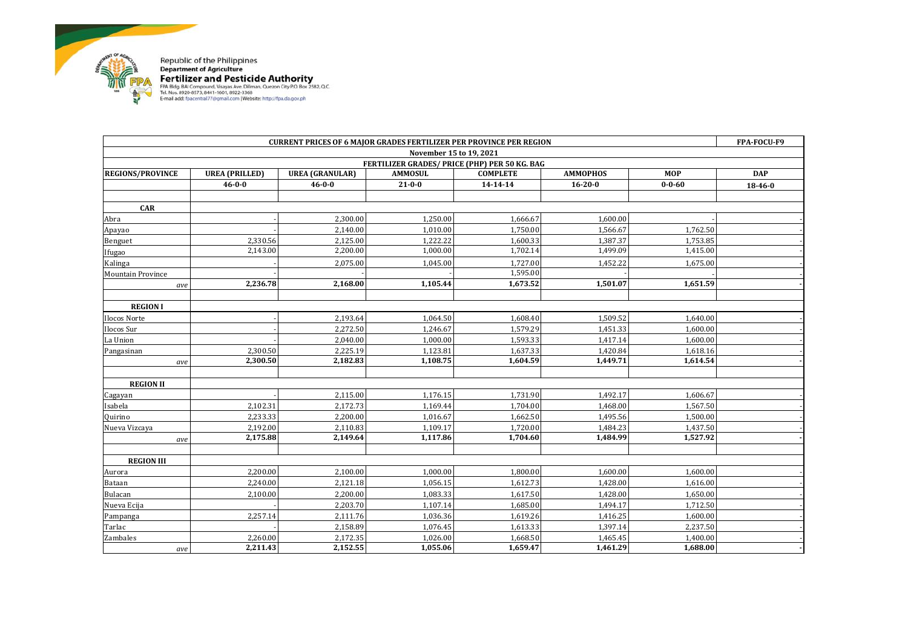

Republic of the Philippines<br> **Pertilizer and Pesticide Authority**<br>
FAR 81dg, BAICompound, Visages Ave. Dillinan, Quezon City PO. Box 2582, Q.C.<br>
FAR 1806. 8920-8573, 8441-1601, 8922-3368<br>
E-mail add: fpacentral77@gmail.com

| <b>CURRENT PRICES OF 6 MAJOR GRADES FERTILIZER PER PROVINCE PER REGION</b> |                       |                        |                |                 |                 | FPA-FOCU-F9  |            |  |
|----------------------------------------------------------------------------|-----------------------|------------------------|----------------|-----------------|-----------------|--------------|------------|--|
| November 15 to 19, 2021                                                    |                       |                        |                |                 |                 |              |            |  |
| FERTILIZER GRADES/ PRICE (PHP) PER 50 KG. BAG                              |                       |                        |                |                 |                 |              |            |  |
| <b>REGIONS/PROVINCE</b>                                                    | <b>UREA (PRILLED)</b> | <b>UREA (GRANULAR)</b> | <b>AMMOSUL</b> | <b>COMPLETE</b> | <b>AMMOPHOS</b> | <b>MOP</b>   | <b>DAP</b> |  |
|                                                                            | $46 - 0 - 0$          | $46 - 0 - 0$           | $21 - 0 - 0$   | 14-14-14        | $16 - 20 - 0$   | $0 - 0 - 60$ | 18-46-0    |  |
|                                                                            |                       |                        |                |                 |                 |              |            |  |
| <b>CAR</b>                                                                 |                       |                        |                |                 |                 |              |            |  |
| Abra                                                                       |                       | 2,300.00               | 1,250.00       | 1,666.67        | 1,600.00        |              |            |  |
| Apayao                                                                     |                       | 2,140.00               | 1,010.00       | 1,750.00        | 1,566.67        | 1,762.50     |            |  |
| Benguet                                                                    | 2,330.56              | 2,125.00               | 1,222.22       | 1,600.33        | 1,387.37        | 1,753.85     |            |  |
| Ifugao                                                                     | 2,143.00              | 2,200.00               | 1,000.00       | 1,702.14        | 1,499.09        | 1,415.00     |            |  |
| Kalinga                                                                    |                       | 2,075.00               | 1,045.00       | 1,727.00        | 1,452.22        | 1,675.00     |            |  |
| <b>Mountain Province</b>                                                   |                       |                        |                | 1,595.00        |                 |              |            |  |
| ave                                                                        | 2,236.78              | 2,168.00               | 1,105.44       | 1,673.52        | 1,501.07        | 1,651.59     |            |  |
|                                                                            |                       |                        |                |                 |                 |              |            |  |
| <b>REGION I</b>                                                            |                       |                        |                |                 |                 |              |            |  |
| Ilocos Norte                                                               |                       | 2,193.64               | 1,064.50       | 1,608.40        | 1,509.52        | 1,640.00     |            |  |
| Ilocos Sur                                                                 |                       | 2,272.50               | 1,246.67       | 1,579.29        | 1,451.33        | 1,600.00     |            |  |
| La Union                                                                   |                       | 2,040.00               | 1,000.00       | 1,593.33        | 1,417.14        | 1,600.00     |            |  |
| Pangasinan                                                                 | 2,300.50              | 2,225.19               | 1,123.81       | 1,637.33        | 1,420.84        | 1,618.16     |            |  |
| ave                                                                        | 2,300.50              | 2,182.83               | 1,108.75       | 1,604.59        | 1,449.71        | 1,614.54     |            |  |
|                                                                            |                       |                        |                |                 |                 |              |            |  |
| <b>REGION II</b>                                                           |                       |                        |                |                 |                 |              |            |  |
| Cagayan                                                                    |                       | 2,115.00               | 1,176.15       | 1,731.90        | 1,492.17        | 1,606.67     |            |  |
| Isabela                                                                    | 2,102.31              | 2,172.73               | 1,169.44       | 1,704.00        | 1,468.00        | 1,567.50     |            |  |
| Quirino                                                                    | 2,233.33              | 2,200.00               | 1,016.67       | 1,662.50        | 1,495.56        | 1,500.00     |            |  |
| Nueva Vizcaya                                                              | 2,192.00              | 2,110.83               | 1,109.17       | 1,720.00        | 1,484.23        | 1,437.50     |            |  |
| ave                                                                        | 2,175.88              | 2,149.64               | 1,117.86       | 1,704.60        | 1,484.99        | 1,527.92     |            |  |
|                                                                            |                       |                        |                |                 |                 |              |            |  |
| <b>REGION III</b>                                                          |                       |                        |                |                 |                 |              |            |  |
| Aurora                                                                     | 2,200.00              | 2.100.00               | 1.000.00       | 1.800.00        | 1.600.00        | 1.600.00     |            |  |
| Bataan                                                                     | 2,240.00              | 2,121.18               | 1,056.15       | 1,612.73        | 1,428.00        | 1,616.00     |            |  |
| Bulacan                                                                    | 2,100.00              | 2,200.00               | 1,083.33       | 1,617.50        | 1,428.00        | 1,650.00     |            |  |
| Nueva Ecija                                                                |                       | 2,203.70               | 1,107.14       | 1,685.00        | 1,494.17        | 1,712.50     |            |  |
| Pampanga                                                                   | 2,257.14              | 2,111.76               | 1,036.36       | 1,619.26        | 1,416.25        | 1,600.00     |            |  |
| Tarlac                                                                     |                       | 2,158.89               | 1,076.45       | 1,613.33        | 1,397.14        | 2,237.50     |            |  |
| Zambales                                                                   | 2,260.00              | 2,172.35               | 1,026.00       | 1,668.50        | 1,465.45        | 1,400.00     |            |  |
| ave                                                                        | 2,211.43              | 2,152.55               | 1,055.06       | 1,659.47        | 1,461.29        | 1,688.00     |            |  |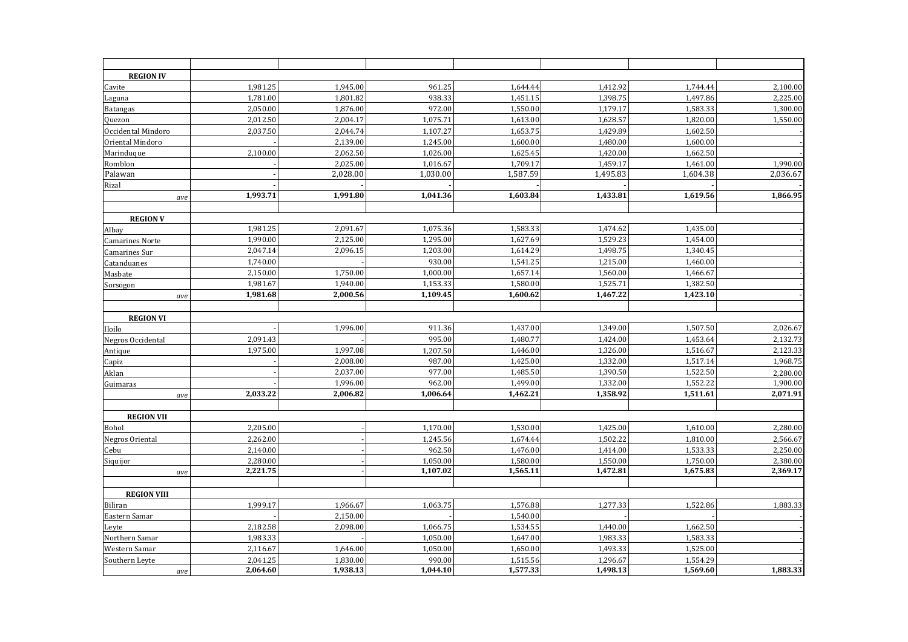| <b>REGION IV</b>         |          |                      |                      |                      |                      |                      |                      |
|--------------------------|----------|----------------------|----------------------|----------------------|----------------------|----------------------|----------------------|
| Cavite                   | 1,981.25 | 1,945.00             | 961.25               | 1,644.44             | 1,412.92             | 1,744.44             | 2,100.00             |
| Laguna                   | 1,781.00 | 1,801.82             | 938.33<br>972.00     | 1,451.15             | 1,398.75             | 1,497.86<br>1,583.33 | 2,225.00             |
| <b>Batangas</b>          | 2,050.00 | 1,876.00             |                      | 1,550.00             | 1,179.17             |                      | 1,300.00             |
| Quezon                   | 2,012.50 | 2,004.17             | 1,075.71             | 1,613.00             | 1,628.57             | 1,820.00             | 1,550.00             |
| Occidental Mindoro       | 2,037.50 | 2,044.74             | 1,107.27             | 1,653.75             | 1,429.89             | 1,602.50             |                      |
| Oriental Mindoro         |          | 2,139.00             | 1,245.00             | 1,600.00             | 1,480.00             | 1,600.00             |                      |
| Marinduque               | 2,100.00 | 2,062.50             | 1,026.00             | 1,625.45             | 1,420.00             | 1,662.50             |                      |
| Romblon                  |          | 2,025.00<br>2,028.00 | 1,016.67<br>1,030.00 | 1,709.17<br>1,587.59 | 1,459.17<br>1,495.83 | 1,461.00<br>1,604.38 | 1,990.00<br>2,036.67 |
| Palawan<br>Rizal         |          |                      |                      |                      |                      |                      |                      |
|                          | 1,993.71 | 1,991.80             | 1,041.36             | 1,603.84             | 1,433.81             | 1,619.56             | 1,866.95             |
| ave                      |          |                      |                      |                      |                      |                      |                      |
| <b>REGION V</b>          |          |                      |                      |                      |                      |                      |                      |
| Albay                    | 1,981.25 | 2,091.67             | 1,075.36             | 1,583.33             | 1,474.62             | 1,435.00             |                      |
| <b>Camarines Norte</b>   | 1,990.00 | 2,125.00             | 1,295.00             | 1,627.69             | 1,529.23             | 1,454.00             |                      |
| Camarines Sur            | 2,047.14 | 2,096.15             | 1,203.00             | 1,614.29             | 1,498.75             | 1,340.45             |                      |
| Catanduanes              | 1,740.00 |                      | 930.00               | 1,541.25             | 1,215.00             | 1,460.00             |                      |
| Masbate                  | 2,150.00 | 1,750.00             | 1,000.00             | 1,657.14             | 1,560.00             | 1,466.67             |                      |
| Sorsogon                 | 1,981.67 | 1,940.00             | 1,153.33             | 1,580.00             | 1,525.71             | 1,382.50             |                      |
| ave                      | 1,981.68 | 2,000.56             | 1,109.45             | 1,600.62             | 1,467.22             | 1,423.10             |                      |
|                          |          |                      |                      |                      |                      |                      |                      |
| <b>REGION VI</b>         |          |                      |                      |                      |                      |                      |                      |
| Iloilo                   |          | 1,996.00             | 911.36               | 1,437.00             | 1,349.00             | 1,507.50             | 2,026.67             |
| <b>Negros Occidental</b> | 2,091.43 |                      | 995.00               | 1,480.77             | 1,424.00             | 1,453.64             | 2,132.73             |
| Antique                  | 1,975.00 | 1,997.08             | 1,207.50             | 1,446.00             | 1,326.00             | 1,516.67             | 2,123.33             |
| Capiz                    |          | 2,008.00             | 987.00               | 1,425.00             | 1,332.00             | 1,517.14             | 1,968.75             |
| Aklan                    |          | 2,037.00             | 977.00               | 1,485.50             | 1,390.50             | 1,522.50             | 2,280.00             |
| Guimaras                 |          | 1,996.00             | 962.00               | 1,499.00             | 1,332.00             | 1,552.22             | 1,900.00             |
| ave                      | 2,033.22 | 2,006.82             | 1,006.64             | 1,462.21             | 1,358.92             | 1,511.61             | 2,071.91             |
|                          |          |                      |                      |                      |                      |                      |                      |
| <b>REGION VII</b>        |          |                      |                      |                      |                      |                      |                      |
| Bohol                    | 2,205.00 |                      | 1,170.00             | 1,530.00             | 1,425.00             | 1,610.00             | 2,280.00             |
| Negros Oriental          | 2,262.00 |                      | 1,245.56             | 1,674.44             | 1,502.22             | 1,810.00             | 2,566.67             |
| Cebu                     | 2,140.00 |                      | 962.50               | 1,476.00             | 1,414.00             | 1,533.33             | 2,250.00             |
| Siquijor                 | 2,280.00 |                      | 1,050.00             | 1,580.00             | 1,550.00             | 1,750.00             | 2,380.00             |
| ave                      | 2,221.75 |                      | 1,107.02             | 1,565.11             | 1,472.81             | 1,675.83             | 2,369.17             |
|                          |          |                      |                      |                      |                      |                      |                      |
| <b>REGION VIII</b>       |          |                      |                      |                      |                      |                      |                      |
| <b>Biliran</b>           | 1,999.17 | 1,966.67             | 1,063.75             | 1,576.88             | 1,277.33             | 1,522.86             | 1,883.33             |
| Eastern Samar            | 2,182.58 | 2,150.00<br>2,098.00 | 1,066.75             | 1,540.00             | 1,440.00             | 1,662.50             |                      |
| Leyte<br>Northern Samar  | 1,983.33 |                      | 1,050.00             | 1,534.55<br>1,647.00 | 1,983.33             | 1,583.33             |                      |
| Western Samar            | 2,116.67 | 1,646.00             | 1,050.00             | 1,650.00             | 1,493.33             | 1,525.00             |                      |
| Southern Leyte           | 2,041.25 | 1,830.00             | 990.00               | 1,515.56             | 1,296.67             | 1,554.29             |                      |
| ave                      | 2,064.60 | 1,938.13             | 1,044.10             | 1,577.33             | 1,498.13             | 1,569.60             | 1,883.33             |
|                          |          |                      |                      |                      |                      |                      |                      |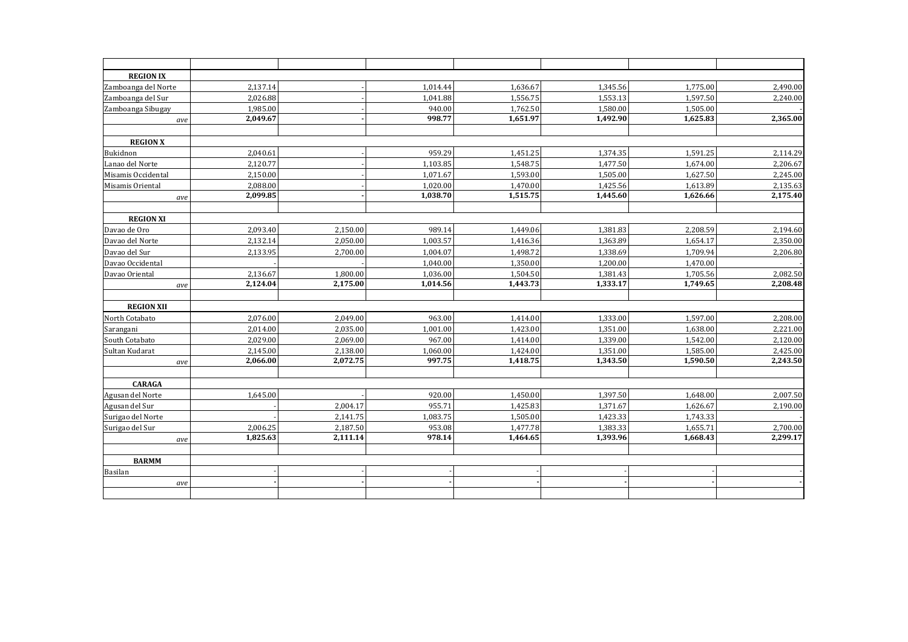| <b>REGION IX</b>    |          |          |          |                       |          |          |          |
|---------------------|----------|----------|----------|-----------------------|----------|----------|----------|
| Zamboanga del Norte | 2,137.14 |          | 1,014.44 | 1,636.67              | 1,345.56 | 1,775.00 | 2,490.00 |
| Zamboanga del Sur   | 2,026.88 |          | 1,041.88 | 1,556.75              | 1,553.13 | 1,597.50 | 2,240.00 |
| Zamboanga Sibugay   | 1,985.00 |          | 940.00   | 1,762.50              | 1,580.00 | 1,505.00 |          |
| ave                 | 2,049.67 |          | 998.77   | 1,651.97              | 1,492.90 | 1,625.83 | 2,365.00 |
| <b>REGION X</b>     |          |          |          |                       |          |          |          |
| Bukidnon            | 2,040.61 |          | 959.29   | 1,451.25              | 1,374.35 | 1.591.25 | 2,114.29 |
| Lanao del Norte     | 2,120.77 |          | 1,103.85 | 1,548.75              | 1,477.50 | 1,674.00 | 2,206.67 |
| Misamis Occidental  | 2,150.00 |          | 1,071.67 | 1,593.00              | 1,505.00 | 1,627.50 | 2,245.00 |
| Misamis Oriental    | 2,088.00 |          | 1,020.00 | 1,470.00              | 1,425.56 | 1,613.89 | 2,135.63 |
| ave                 | 2,099.85 |          | 1,038.70 | 1,515.75              | 1,445.60 | 1,626.66 | 2,175.40 |
| <b>REGION XI</b>    |          |          |          |                       |          |          |          |
| Davao de Oro        | 2,093.40 | 2,150.00 | 989.14   | 1,449.06              | 1,381.83 | 2,208.59 | 2,194.60 |
| Davao del Norte     | 2,132.14 | 2,050.00 | 1,003.57 | 1,416.36              | 1,363.89 | 1,654.17 | 2,350.00 |
| Davao del Sur       | 2,133.95 | 2,700.00 | 1,004.07 | 1,498.72              | 1,338.69 | 1,709.94 | 2,206.80 |
| Davao Occidental    |          |          | 1,040.00 | 1,350.00              | 1,200.00 | 1,470.00 |          |
| Davao Oriental      | 2,136.67 | 1,800.00 | 1,036.00 | 1,504.50              | 1,381.43 | 1,705.56 | 2,082.50 |
| ave                 | 2,124.04 | 2,175.00 | 1,014.56 | 1,443.73              | 1,333.17 | 1,749.65 | 2,208.48 |
|                     |          |          |          |                       |          |          |          |
| <b>REGION XII</b>   |          |          |          |                       |          |          |          |
| North Cotabato      | 2,076.00 | 2,049.00 | 963.00   | 1,414.00              | 1,333.00 | 1,597.00 | 2,208.00 |
| Sarangani           | 2,014.00 | 2,035.00 | 1,001.00 | 1,423.00              | 1,351.00 | 1,638.00 | 2,221.00 |
| South Cotabato      | 2,029.00 | 2,069.00 | 967.00   | 1,414.00              | 1,339.00 | 1,542.00 | 2,120.00 |
| Sultan Kudarat      | 2,145.00 | 2,138.00 | 1,060.00 | 1,424.00              | 1,351.00 | 1,585.00 | 2,425.00 |
| ave                 | 2,066.00 | 2,072.75 | 997.75   | 1,418.75              | 1,343.50 | 1,590.50 | 2,243.50 |
| <b>CARAGA</b>       |          |          |          |                       |          |          |          |
| Agusan del Norte    | 1,645.00 |          | 920.00   | 1,450.00              | 1,397.50 | 1,648.00 | 2,007.50 |
| Agusan del Sur      |          | 2,004.17 | 955.71   | 1,425.83              | 1,371.67 | 1,626.67 | 2,190.00 |
| Surigao del Norte   |          | 2,141.75 | 1,083.75 | 1,505.00              | 1,423.33 | 1,743.33 |          |
| Surigao del Sur     | 2,006.25 | 2,187.50 | 953.08   | 1,477.78              | 1,383.33 | 1,655.71 | 2,700.00 |
| ave                 | 1,825.63 | 2,111.14 | 978.14   | $\overline{1,}464.65$ | 1,393.96 | 1,668.43 | 2,299.17 |
|                     |          |          |          |                       |          |          |          |
| <b>BARMM</b>        |          |          |          |                       |          |          |          |
| Basilan             |          |          |          |                       |          |          |          |
| ave                 |          |          |          |                       |          |          |          |
|                     |          |          |          |                       |          |          |          |